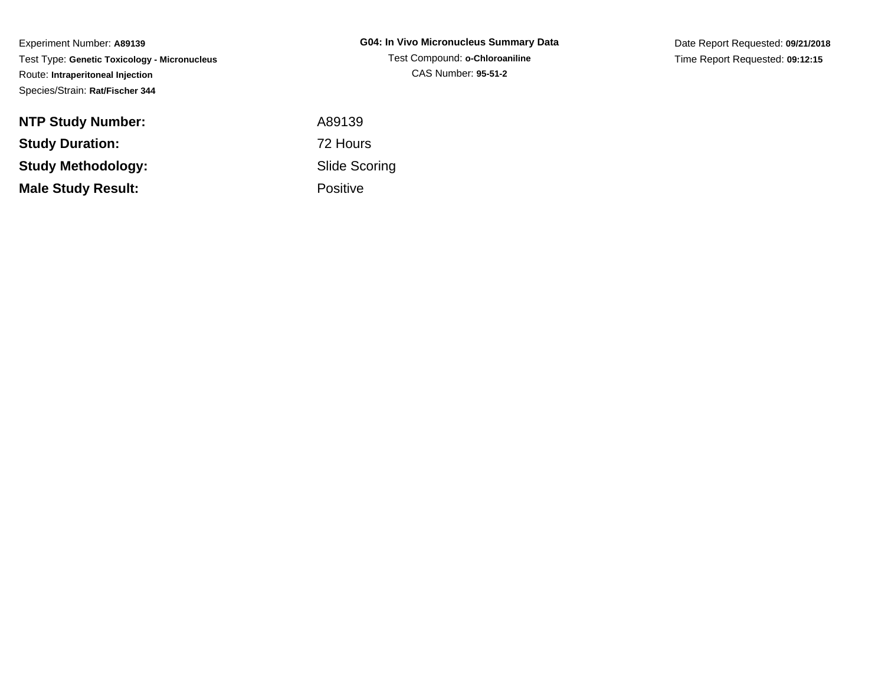Experiment Number: **A89139** Test Type: **Genetic Toxicology - Micronucleus**Route: **Intraperitoneal Injection**Species/Strain: **Rat/Fischer 344**

| <b>NTP Study Number:</b>  | A89139          |
|---------------------------|-----------------|
| <b>Study Duration:</b>    | 72 Hours        |
| Study Methodology:        | Slide Sco       |
| <b>Male Study Result:</b> | <b>Positive</b> |

**G04: In Vivo Micronucleus Summary Data**Test Compound: **o-Chloroaniline**CAS Number: **95-51-2**

Date Report Requested: **09/21/2018**Time Report Requested: **09:12:15**

 A89139 Slide ScoringPositive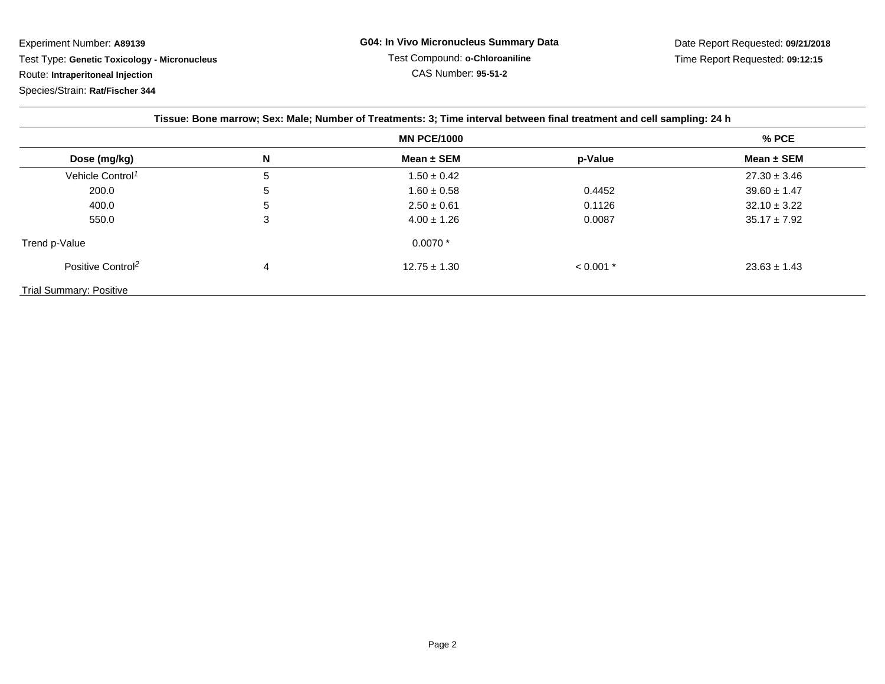Experiment Number: **A89139**

Test Type: **Genetic Toxicology - Micronucleus**

Route: **Intraperitoneal Injection**

Species/Strain: **Rat/Fischer 344**

| Tissue: Bone marrow; Sex: Male; Number of Treatments: 3; Time interval between final treatment and cell sampling: 24 h |   |                    |             |                  |  |
|------------------------------------------------------------------------------------------------------------------------|---|--------------------|-------------|------------------|--|
|                                                                                                                        |   | <b>MN PCE/1000</b> |             | $%$ PCE          |  |
| Dose (mg/kg)                                                                                                           | N | Mean $\pm$ SEM     | p-Value     | Mean $\pm$ SEM   |  |
| Vehicle Control <sup>1</sup>                                                                                           | 5 | $1.50 \pm 0.42$    |             | $27.30 \pm 3.46$ |  |
| 200.0                                                                                                                  | 5 | $1.60 \pm 0.58$    | 0.4452      | $39.60 \pm 1.47$ |  |
| 400.0                                                                                                                  | 5 | $2.50 \pm 0.61$    | 0.1126      | $32.10 \pm 3.22$ |  |
| 550.0                                                                                                                  | 3 | $4.00 \pm 1.26$    | 0.0087      | $35.17 \pm 7.92$ |  |
| Trend p-Value                                                                                                          |   | $0.0070*$          |             |                  |  |
| Positive Control <sup>2</sup>                                                                                          | 4 | $12.75 \pm 1.30$   | $< 0.001$ * | $23.63 \pm 1.43$ |  |
| <b>Trial Summary: Positive</b>                                                                                         |   |                    |             |                  |  |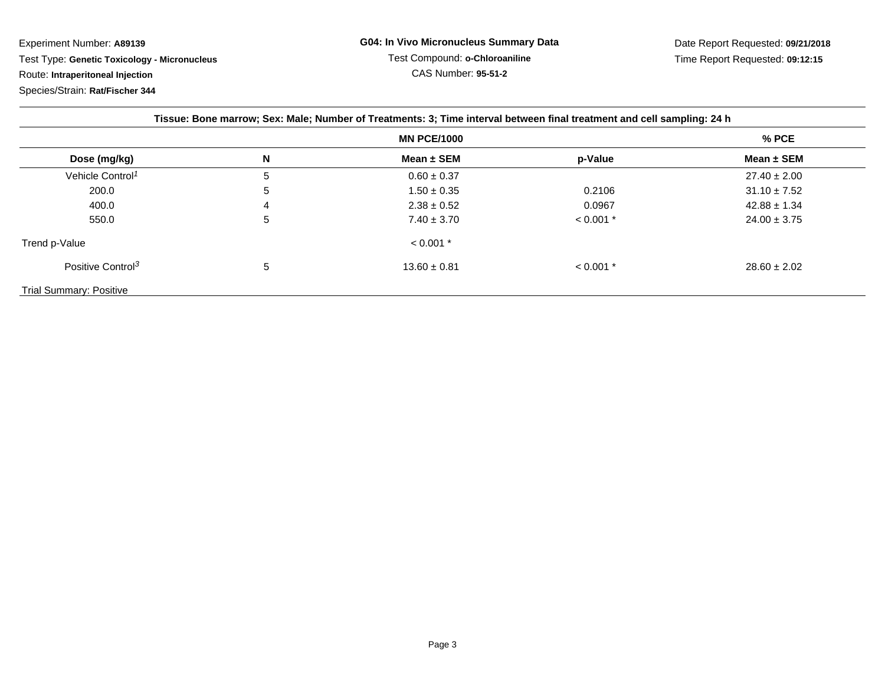Experiment Number: **A89139**

Test Type: **Genetic Toxicology - Micronucleus**

Route: **Intraperitoneal Injection**

Species/Strain: **Rat/Fischer 344**

| Tissue: Bone marrow; Sex: Male; Number of Treatments: 3; Time interval between final treatment and cell sampling: 24 h |   |                    |             |                  |  |
|------------------------------------------------------------------------------------------------------------------------|---|--------------------|-------------|------------------|--|
|                                                                                                                        |   | <b>MN PCE/1000</b> |             | $%$ PCE          |  |
| Dose (mg/kg)                                                                                                           | N | Mean $\pm$ SEM     | p-Value     | Mean $\pm$ SEM   |  |
| Vehicle Control <sup>1</sup>                                                                                           | 5 | $0.60 \pm 0.37$    |             | $27.40 \pm 2.00$ |  |
| 200.0                                                                                                                  | 5 | $1.50 \pm 0.35$    | 0.2106      | $31.10 \pm 7.52$ |  |
| 400.0                                                                                                                  | 4 | $2.38 \pm 0.52$    | 0.0967      | $42.88 \pm 1.34$ |  |
| 550.0                                                                                                                  | 5 | $7.40 \pm 3.70$    | $< 0.001$ * | $24.00 \pm 3.75$ |  |
| Trend p-Value                                                                                                          |   | $< 0.001$ *        |             |                  |  |
| Positive Control <sup>3</sup>                                                                                          | 5 | $13.60 \pm 0.81$   | $< 0.001$ * | $28.60 \pm 2.02$ |  |
| <b>Trial Summary: Positive</b>                                                                                         |   |                    |             |                  |  |